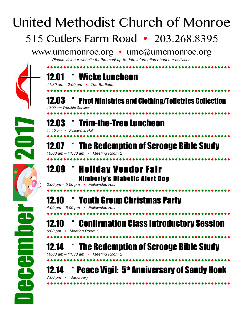